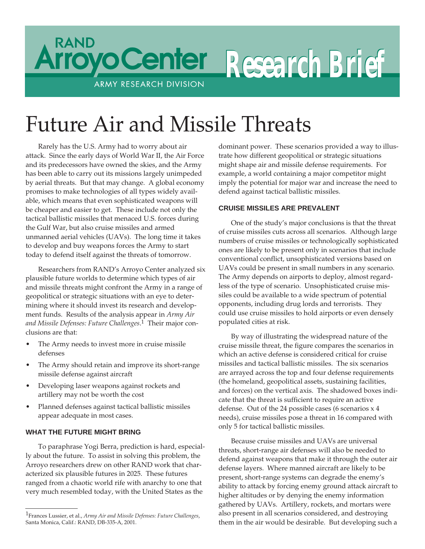

# Future Air and Missile Threats

Rarely has the U.S. Army had to worry about air attack. Since the early days of World War II, the Air Force and its predecessors have owned the skies, and the Army has been able to carry out its missions largely unimpeded by aerial threats. But that may change. A global economy promises to make technologies of all types widely available, which means that even sophisticated weapons will be cheaper and easier to get. These include not only the tactical ballistic missiles that menaced U.S. forces during the Gulf War, but also cruise missiles and armed unmanned aerial vehicles (UAVs). The long time it takes to develop and buy weapons forces the Army to start today to defend itself against the threats of tomorrow.

Researchers from RAND's Arroyo Center analyzed six plausible future worlds to determine which types of air and missile threats might confront the Army in a range of geopolitical or strategic situations with an eye to determining where it should invest its research and development funds. Results of the analysis appear in *Army Air and Missile Defenses: Future Challenges*. <sup>1</sup> Their major conclusions are that:

- The Army needs to invest more in cruise missile defenses
- The Army should retain and improve its short-range missile defense against aircraft
- Developing laser weapons against rockets and artillery may not be worth the cost
- Planned defenses against tactical ballistic missiles appear adequate in most cases.

## **WHAT THE FUTURE MIGHT BRING**

To paraphrase Yogi Berra, prediction is hard, especially about the future. To assist in solving this problem, the Arroyo researchers drew on other RAND work that characterized six plausible futures in 2025. These futures ranged from a chaotic world rife with anarchy to one that very much resembled today, with the United States as the

dominant power. These scenarios provided a way to illustrate how different geopolitical or strategic situations might shape air and missile defense requirements. For example, a world containing a major competitor might imply the potential for major war and increase the need to defend against tactical ballistic missiles.

### **CRUISE MISSILES ARE PREVALENT**

One of the study's major conclusions is that the threat of cruise missiles cuts across all scenarios. Although large numbers of cruise missiles or technologically sophisticated ones are likely to be present only in scenarios that include conventional conflict, unsophisticated versions based on UAVs could be present in small numbers in any scenario. The Army depends on airports to deploy, almost regardless of the type of scenario. Unsophisticated cruise missiles could be available to a wide spectrum of potential opponents, including drug lords and terrorists. They could use cruise missiles to hold airports or even densely populated cities at risk.

By way of illustrating the widespread nature of the cruise missile threat, the figure compares the scenarios in which an active defense is considered critical for cruise missiles and tactical ballistic missiles. The six scenarios are arrayed across the top and four defense requirements (the homeland, geopolitical assets, sustaining facilities, and forces) on the vertical axis. The shadowed boxes indicate that the threat is sufficient to require an active defense. Out of the 24 possible cases (6 scenarios x 4 needs), cruise missiles pose a threat in 16 compared with only 5 for tactical ballistic missiles.

Because cruise missiles and UAVs are universal threats, short-range air defenses will also be needed to defend against weapons that make it through the outer air defense layers. Where manned aircraft are likely to be present, short-range systems can degrade the enemy's ability to attack by forcing enemy ground attack aircraft to higher altitudes or by denying the enemy information gathered by UAVs. Artillery, rockets, and mortars were also present in all scenarios considered, and destroying them in the air would be desirable. But developing such a

<sup>1</sup>Frances Lussier, et al., *Army Air and Missile Defenses: Future Challenges*, Santa Monica, Calif.: RAND, DB-335-A, 2001.